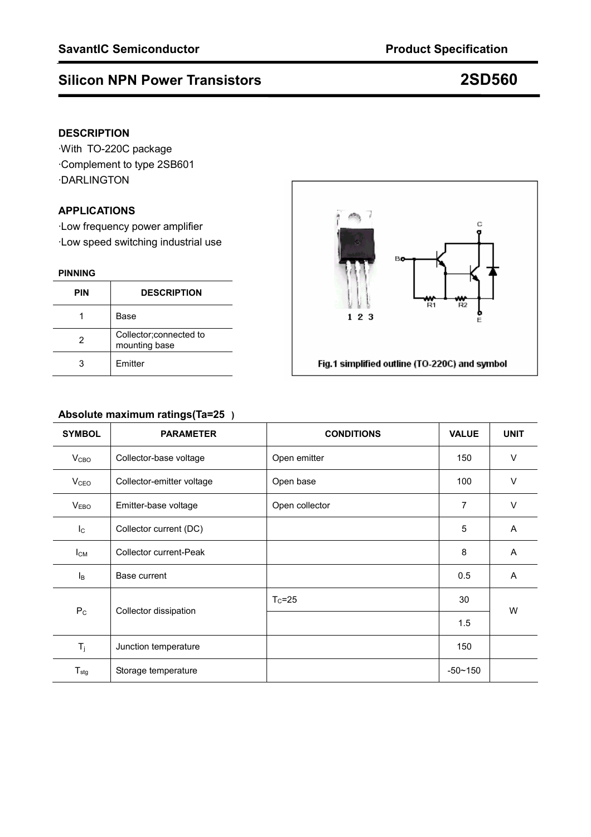# **Silicon NPN Power Transistors 2SD560**

### **DESCRIPTION**

·With TO-220C package ·Complement to type 2SB601 ·DARLINGTON

### **APPLICATIONS**

·Low frequency power amplifier ·Low speed switching industrial use

#### **PINNING**

| <b>PIN</b> | <b>DESCRIPTION</b>                       |  |
|------------|------------------------------------------|--|
|            | Base                                     |  |
| 2          | Collector; connected to<br>mounting base |  |
|            | <b>Fmitter</b>                           |  |



### **Absolute maximum ratings(Ta=25)**

| <b>SYMBOL</b>             | <b>PARAMETER</b>          | <b>CONDITIONS</b> | <b>VALUE</b> | <b>UNIT</b> |  |
|---------------------------|---------------------------|-------------------|--------------|-------------|--|
| V <sub>CBO</sub>          | Collector-base voltage    | Open emitter      | 150          | $\vee$      |  |
| <b>V</b> <sub>CEO</sub>   | Collector-emitter voltage | Open base         | 100          | $\vee$      |  |
| V <sub>EBO</sub>          | Emitter-base voltage      | Open collector    |              | $\vee$      |  |
| $\mathsf{I}_{\mathsf{C}}$ | Collector current (DC)    |                   | 5            | A           |  |
| $I_{CM}$                  | Collector current-Peak    |                   | 8            | A           |  |
| Iв                        | Base current              |                   | 0.5          | A           |  |
| $P_{C}$                   | Collector dissipation     | $T_c = 25$        | 30           | W           |  |
|                           |                           |                   | 1.5          |             |  |
| $T_i$                     | Junction temperature      |                   | 150          |             |  |
| ${\sf T}_{\sf stg}$       | Storage temperature       |                   | $-50 - 150$  |             |  |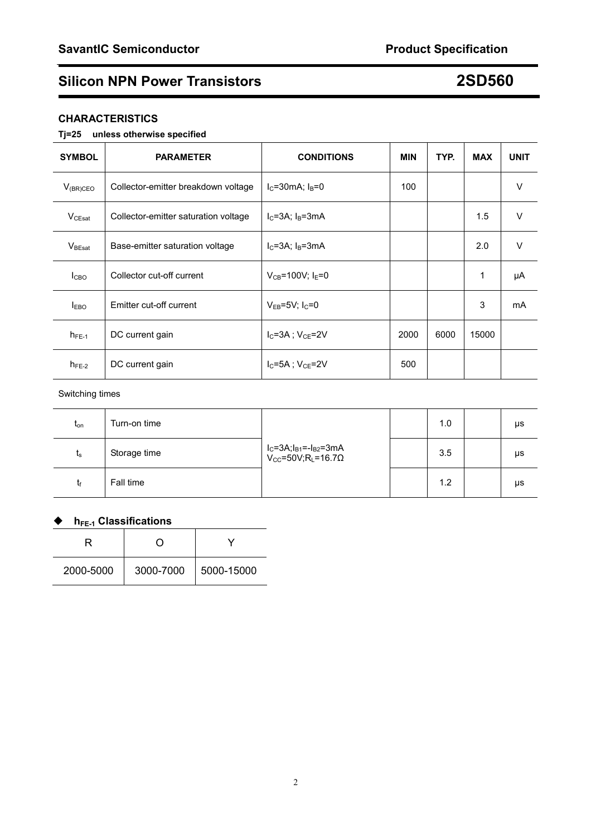## **Silicon NPN Power Transistors 2SD560**

### **CHARACTERISTICS**

#### **Tj=25 unless otherwise specified**

| <b>SYMBOL</b>      | <b>PARAMETER</b>                     | <b>CONDITIONS</b>                   | <b>MIN</b> | TYP. | <b>MAX</b> | <b>UNIT</b> |
|--------------------|--------------------------------------|-------------------------------------|------------|------|------------|-------------|
| $V_{(BR)CEO}$      | Collector-emitter breakdown voltage  | $I_C = 30mA$ ; $I_B = 0$            | 100        |      |            | V           |
| $V_{CEsat}$        | Collector-emitter saturation voltage | $I_C = 3A$ ; $I_B = 3mA$            |            |      | 1.5        | $\vee$      |
| $V_{\text{BEsat}}$ | Base-emitter saturation voltage      | $I_C = 3A$ ; $I_B = 3mA$            |            |      | 2.0        | $\vee$      |
| I <sub>CBO</sub>   | Collector cut-off current            | $V_{CB} = 100V$ ; I <sub>F</sub> =0 |            |      | 1          | μA          |
| $I_{EBO}$          | Emitter cut-off current              | $V_{EB} = 5V$ ; I <sub>C</sub> =0   |            |      | 3          | mA          |
| $h_{FE-1}$         | DC current gain                      | $I_C = 3A$ ; $V_{CE} = 2V$          | 2000       | 6000 | 15000      |             |
| $h_{FE-2}$         | DC current gain                      | $I_C = 5A$ ; $V_{CE} = 2V$          | 500        |      |            |             |

#### Switching times

| t <sub>on</sub> | Turn-on time | $I_C = 3A; I_{B1} = -I_{B2} = 3mA$<br>V <sub>CC</sub> =50V;R <sub>L</sub> =16.7Ω | 1.0 | μs |
|-----------------|--------------|----------------------------------------------------------------------------------|-----|----|
| $t_{\rm s}$     | Storage time |                                                                                  | 3.5 | μs |
| tf              | Fall time    |                                                                                  | 1.2 | μs |

## **▶ hFE-1 Classifications**

| .<br>---------------- |           |            |  |  |  |
|-----------------------|-----------|------------|--|--|--|
| R                     |           |            |  |  |  |
| 2000-5000             | 3000-7000 | 5000-15000 |  |  |  |